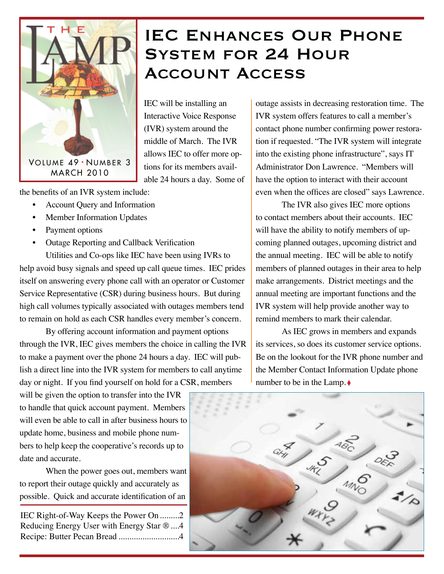

### IEC ENHANCES OUR PHONE System for 24 Hour Account Access

IEC will be installing an Interactive Voice Response (IVR) system around the middle of March. The IVR allows IEC to offer more options for its members available 24 hours a day. Some of

the benefits of an IVR system include:

- Account Query and Information
- Member Information Updates
- Payment options
- Outage Reporting and Callback Verification Utilities and Co-ops like IEC have been using IVRs to

help avoid busy signals and speed up call queue times. IEC prides itself on answering every phone call with an operator or Customer Service Representative (CSR) during business hours. But during high call volumes typically associated with outages members tend to remain on hold as each CSR handles every member's concern.

By offering account information and payment options through the IVR, IEC gives members the choice in calling the IVR to make a payment over the phone 24 hours a day. IEC will publish a direct line into the IVR system for members to call anytime day or night. If you find yourself on hold for a CSR, members

will be given the option to transfer into the IVR to handle that quick account payment. Members will even be able to call in after business hours to update home, business and mobile phone numbers to help keep the cooperative's records up to date and accurate.

When the power goes out, members want to report their outage quickly and accurately as possible. Quick and accurate identification of an

IEC Right-of-Way Keeps the Power On.........2 Reducing Energy User with Energy Star ®....4 Recipe: Butter Pecan Bread ............................4 outage assists in decreasing restoration time. The IVR system offers features to call a member's contact phone number confirming power restoration if requested. "The IVR system will integrate into the existing phone infrastructure", says IT Administrator Don Lawrence. "Members will have the option to interact with their account even when the offices are closed" says Lawrence.

The IVR also gives IEC more options to contact members about their accounts. IEC will have the ability to notify members of upcoming planned outages, upcoming district and the annual meeting. IEC will be able to notify members of planned outages in their area to help make arrangements. District meetings and the annual meeting are important functions and the IVR system will help provide another way to remind members to mark their calendar.

As IEC grows in members and expands its services, so does its customer service options. Be on the lookout for the IVR phone number and the Member Contact Information Update phone number to be in the Lamp.♦

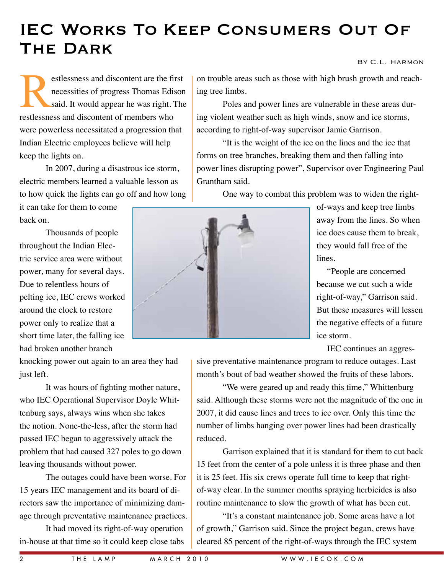# IEC Works To Keep Consumers Out Of The Dark

#### By C.L. Harmon

estlessness and discontent are the first<br>necessities of progress Thomas Edison<br>said. It would appear he was right. The<br>restlessness and discontent of members who necessities of progress Thomas Edison said. It would appear he was right. The restlessness and discontent of members who were powerless necessitated a progression that Indian Electric employees believe will help keep the lights on.

In 2007, during a disastrous ice storm, electric members learned a valuable lesson as to how quick the lights can go off and how long

it can take for them to come back on.

Thousands of people throughout the Indian Electric service area were without power, many for several days. Due to relentless hours of pelting ice, IEC crews worked around the clock to restore power only to realize that a short time later, the falling ice had broken another branch

knocking power out again to an area they had just left.

It was hours of fighting mother nature, who IEC Operational Supervisor Doyle Whittenburg says, always wins when she takes the notion. None-the-less, after the storm had passed IEC began to aggressively attack the problem that had caused 327 poles to go down leaving thousands without power.

The outages could have been worse. For 15 years IEC management and its board of directors saw the importance of minimizing damage through preventative maintenance practices.

It had moved its right-of-way operation in-house at that time so it could keep close tabs on trouble areas such as those with high brush growth and reaching tree limbs.

Poles and power lines are vulnerable in these areas during violent weather such as high winds, snow and ice storms, according to right-of-way supervisor Jamie Garrison.

"It is the weight of the ice on the lines and the ice that forms on tree branches, breaking them and then falling into power lines disrupting power", Supervisor over Engineering Paul Grantham said.

One way to combat this problem was to widen the right-

of-ways and keep tree limbs away from the lines. So when ice does cause them to break, they would fall free of the lines.

"People are concerned because we cut such a wide right-of-way," Garrison said. But these measures will lessen the negative effects of a future ice storm.

IEC continues an aggres-

sive preventative maintenance program to reduce outages. Last month's bout of bad weather showed the fruits of these labors.

"We were geared up and ready this time," Whittenburg said. Although these storms were not the magnitude of the one in 2007, it did cause lines and trees to ice over. Only this time the number of limbs hanging over power lines had been drastically reduced.

Garrison explained that it is standard for them to cut back 15 feet from the center of a pole unless it is three phase and then it is 25 feet. His six crews operate full time to keep that rightof-way clear. In the summer months spraying herbicides is also routine maintenance to slow the growth of what has been cut.

"It's a constant maintenance job. Some areas have a lot of growth," Garrison said. Since the project began, crews have cleared 85 percent of the right-of-ways through the IEC system

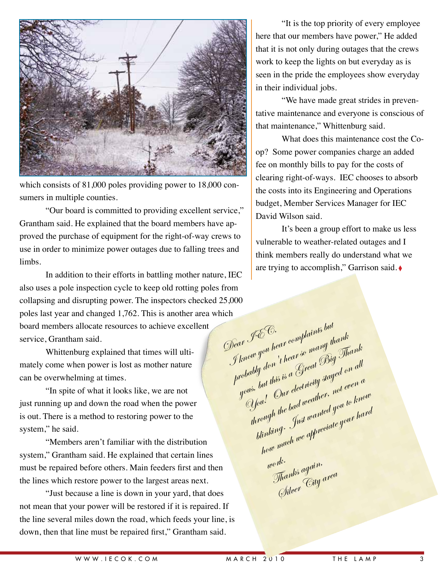

which consists of 81,000 poles providing power to 18,000 consumers in multiple counties.

"Our board is committed to providing excellent service," Grantham said. He explained that the board members have approved the purchase of equipment for the right-of-way crews to use in order to minimize power outages due to falling trees and limbs.

In addition to their efforts in battling mother nature, IEC also uses a pole inspection cycle to keep old rotting poles from collapsing and disrupting power. The inspectors checked 25,000 poles last year and changed 1,762. This is another area which board members allocate resources to achieve excellent service, Grantham said.

Whittenburg explained that times will ultimately come when power is lost as mother nature can be overwhelming at times.

"In spite of what it looks like, we are not just running up and down the road when the power is out. There is a method to restoring power to the system," he said.

"Members aren't familiar with the distribution system," Grantham said. He explained that certain lines must be repaired before others. Main feeders first and then the lines which restore power to the largest areas next.

"Just because a line is down in your yard, that does not mean that your power will be restored if it is repaired. If the line several miles down the road, which feeds your line, is down, then that line must be repaired first," Grantham said.

"It is the top priority of every employee here that our members have power," He added that it is not only during outages that the crews work to keep the lights on but everyday as is seen in the pride the employees show everyday in their individual jobs.

"We have made great strides in preventative maintenance and everyone is conscious of that maintenance," Whittenburg said.

What does this maintenance cost the Coop? Some power companies charge an added fee on monthly bills to pay for the costs of clearing right-of-ways. IEC chooses to absorb the costs into its Engineering and Operations budget, Member Services Manager for IEC David Wilson said.

It's been a group effort to make us less vulnerable to weather-related outages and I think members really do understand what we are trying to accomplish," Garrison said. ◊

Dear IEC,<br>Jenow you hear complaints but<br>Jenow you hear for many the pear I & S.<br>J know you hear complaint thank<br>probably don't hear so many thank<br>probably don't hear Great Big In ir you hear<br>From you hear so many a Thank<br>robably don't hear so many Big Thank<br>yous, but this is a Green dectricity stayed on all<br>yous, but this electricity stayed are here You's but this is a Spear Long number.<br>You's but this is a Spear stayed on all through the bad weather, not even a blinking. Just wanted you to know how much we appreciate your hard work. <sup>wm.</sup><br>Thank<sup>s again,</sup> Thank<sup>o</sup> "<sub>City area"<br>Silver <sup>C</sup>ity <sup>area</sup></sub>